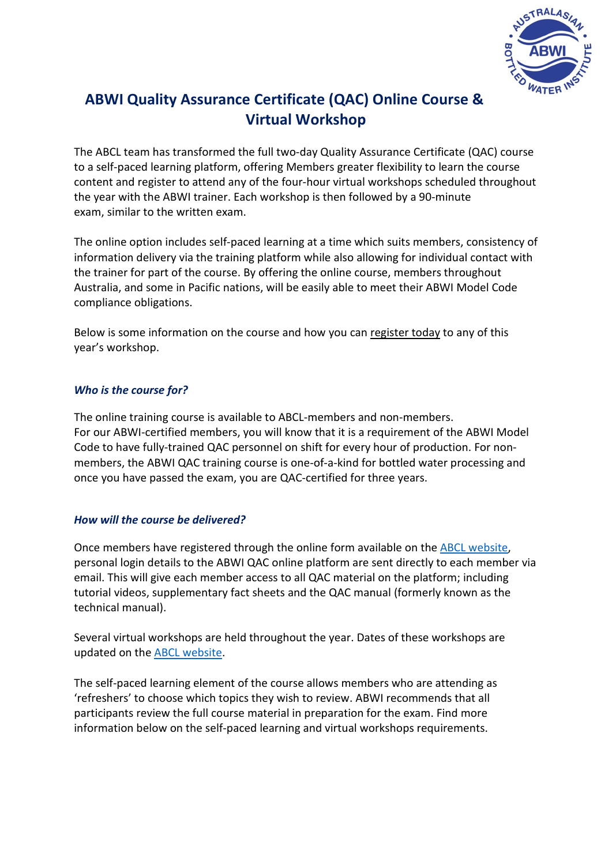

# **ABWI Quality Assurance Certificate (QAC) Online Course & Virtual Workshop**

The ABCL team has transformed the full two-day Quality Assurance Certificate (QAC) course to a self-paced learning platform, offering Members greater flexibility to learn the course content and register to attend any of the four-hour virtual workshops scheduled throughout the year with the ABWI trainer. Each workshop is then followed by a 90-minute exam, similar to the written exam.

The online option includes self-paced learning at a time which suits members, consistency of information delivery via the training platform while also allowing for individual contact with the trainer for part of the course. By offering the online course, members throughout Australia, and some in Pacific nations, will be easily able to meet their ABWI Model Code compliance obligations.

Below is some information on the course and how you can register today to any of this year's workshop.

## *Who is the course for?*

The online training course is available to ABCL-members and non-members. For our ABWI-certified members, you will know that it is a requirement of the ABWI Model Code to have fully-trained QAC personnel on shift for every hour of production. For nonmembers, the ABWI QAC training course is one-of-a-kind for bottled water processing and once you have passed the exam, you are QAC-certified for three years.

## *How will the course be delivered?*

Once members have registered through the online form available on the [ABCL website,](https://www.surveymonkey.com/r/KQ26JX9) personal login details to the ABWI QAC online platform are sent directly to each member via email. This will give each member access to all QAC material on the platform; including tutorial videos, supplementary fact sheets and the QAC manual (formerly known as the technical manual).

Several virtual workshops are held throughout the year. Dates of these workshops are updated on the [ABCL website.](https://www.australianbeverages.org/beverages/water/?preview_id=215&preview_nonce=6e4405bd2e&_thumbnail_id=-1&preview=true)

The self-paced learning element of the course allows members who are attending as 'refreshers' to choose which topics they wish to review. ABWI recommends that all participants review the full course material in preparation for the exam. Find more information below on the self-paced learning and virtual workshops requirements.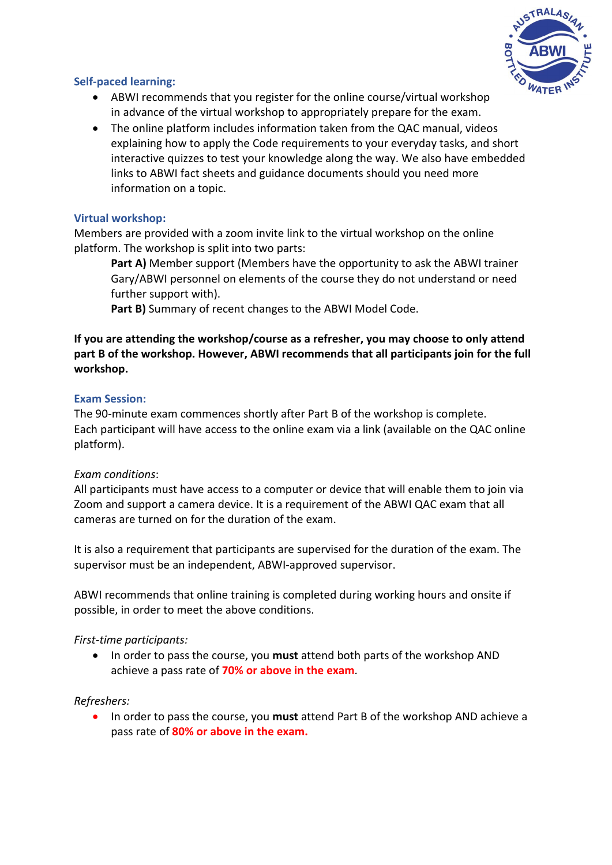

## **Self-paced learning:**

- ABWI recommends that you register for the online course/virtual workshop in advance of the virtual workshop to appropriately prepare for the exam.
- The online platform includes information taken from the QAC manual, videos explaining how to apply the Code requirements to your everyday tasks, and short interactive quizzes to test your knowledge along the way. We also have embedded links to ABWI fact sheets and guidance documents should you need more information on a topic.

## **Virtual workshop:**

Members are provided with a zoom invite link to the virtual workshop on the online platform. The workshop is split into two parts:

**Part A)** Member support (Members have the opportunity to ask the ABWI trainer Gary/ABWI personnel on elements of the course they do not understand or need further support with).

**Part B)** Summary of recent changes to the ABWI Model Code.

## **If you are attending the workshop/course as a refresher, you may choose to only attend part B of the workshop. However, ABWI recommends that all participants join for the full workshop.**

## **Exam Session:**

The 90-minute exam commences shortly after Part B of the workshop is complete. Each participant will have access to the online exam via a link (available on the QAC online platform).

## *Exam conditions*:

All participants must have access to a computer or device that will enable them to join via Zoom and support a camera device. It is a requirement of the ABWI QAC exam that all cameras are turned on for the duration of the exam.

It is also a requirement that participants are supervised for the duration of the exam. The supervisor must be an independent, ABWI-approved supervisor.

ABWI recommends that online training is completed during working hours and onsite if possible, in order to meet the above conditions.

## *First-time participants:*

• In order to pass the course, you **must** attend both parts of the workshop AND achieve a pass rate of **70% or above in the exam**.

## *Refreshers:*

• In order to pass the course, you **must** attend Part B of the workshop AND achieve a pass rate of **80% or above in the exam.**